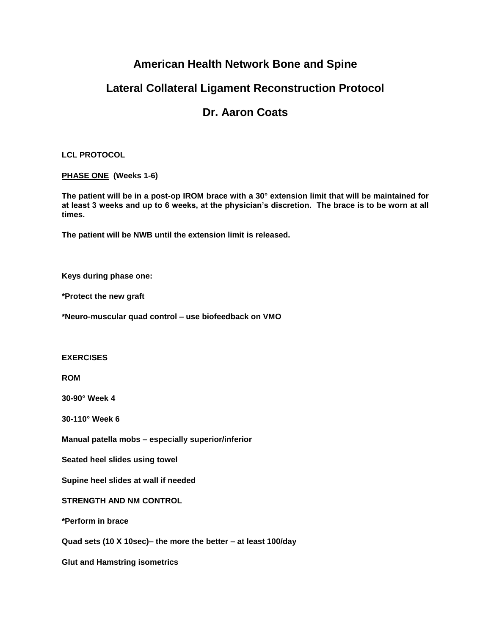# **American Health Network Bone and Spine**

# **Lateral Collateral Ligament Reconstruction Protocol**

# **Dr. Aaron Coats**

### **LCL PROTOCOL**

### **PHASE ONE (Weeks 1-6)**

**The patient will be in a post-op IROM brace with a 30° extension limit that will be maintained for at least 3 weeks and up to 6 weeks, at the physician's discretion. The brace is to be worn at all times.** 

**The patient will be NWB until the extension limit is released.**

**Keys during phase one:**

**\*Protect the new graft** 

**\*Neuro-muscular quad control – use biofeedback on VMO**

### **EXERCISES**

**ROM** 

**30-90° Week 4**

**30-110° Week 6**

**Manual patella mobs – especially superior/inferior**

**Seated heel slides using towel**

**Supine heel slides at wall if needed** 

**STRENGTH AND NM CONTROL**

**\*Perform in brace**

**Quad sets (10 X 10sec)– the more the better – at least 100/day**

**Glut and Hamstring isometrics**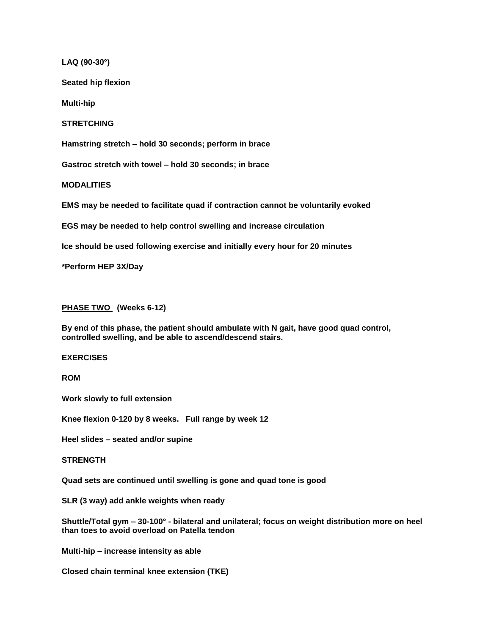**LAQ (90-30°)**

**Seated hip flexion**

**Multi-hip**

**STRETCHING**

**Hamstring stretch – hold 30 seconds; perform in brace**

**Gastroc stretch with towel – hold 30 seconds; in brace**

**MODALITIES**

**EMS may be needed to facilitate quad if contraction cannot be voluntarily evoked**

**EGS may be needed to help control swelling and increase circulation**

**Ice should be used following exercise and initially every hour for 20 minutes**

**\*Perform HEP 3X/Day**

#### **PHASE TWO (Weeks 6-12)**

**By end of this phase, the patient should ambulate with N gait, have good quad control, controlled swelling, and be able to ascend/descend stairs.**

#### **EXERCISES**

**ROM**

**Work slowly to full extension**

**Knee flexion 0-120 by 8 weeks. Full range by week 12**

**Heel slides – seated and/or supine**

#### **STRENGTH**

**Quad sets are continued until swelling is gone and quad tone is good**

**SLR (3 way) add ankle weights when ready**

**Shuttle/Total gym – 30-100° - bilateral and unilateral; focus on weight distribution more on heel than toes to avoid overload on Patella tendon**

**Multi-hip – increase intensity as able**

**Closed chain terminal knee extension (TKE)**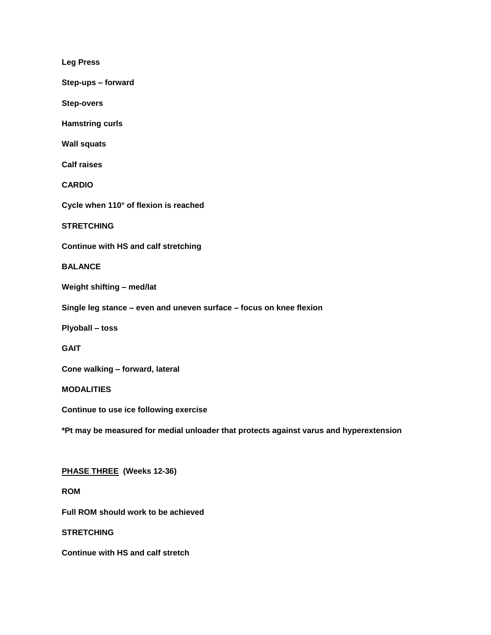**Leg Press**

**Step-ups – forward**

**Step-overs**

**Hamstring curls**

**Wall squats**

**Calf raises**

**CARDIO**

**Cycle when 110° of flexion is reached**

**STRETCHING**

**Continue with HS and calf stretching**

**BALANCE**

**Weight shifting – med/lat**

**Single leg stance – even and uneven surface – focus on knee flexion** 

**Plyoball – toss**

**GAIT**

**Cone walking – forward, lateral** 

**MODALITIES**

**Continue to use ice following exercise**

**\*Pt may be measured for medial unloader that protects against varus and hyperextension**

**PHASE THREE (Weeks 12-36)**

**ROM**

**Full ROM should work to be achieved**

**STRETCHING**

**Continue with HS and calf stretch**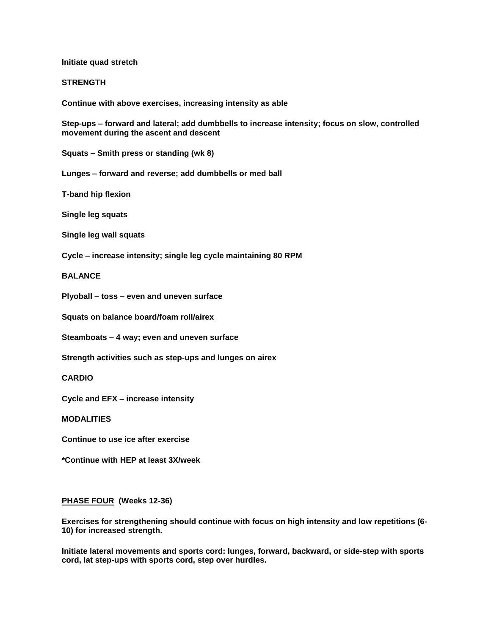**Initiate quad stretch**

#### **STRENGTH**

**Continue with above exercises, increasing intensity as able** 

**Step-ups – forward and lateral; add dumbbells to increase intensity; focus on slow, controlled movement during the ascent and descent**

**Squats – Smith press or standing (wk 8)**

**Lunges – forward and reverse; add dumbbells or med ball**

**T-band hip flexion**

**Single leg squats**

**Single leg wall squats**

**Cycle – increase intensity; single leg cycle maintaining 80 RPM**

**BALANCE**

**Plyoball – toss – even and uneven surface**

**Squats on balance board/foam roll/airex**

**Steamboats – 4 way; even and uneven surface**

**Strength activities such as step-ups and lunges on airex**

**CARDIO**

**Cycle and EFX – increase intensity**

**MODALITIES**

**Continue to use ice after exercise**

**\*Continue with HEP at least 3X/week**

#### **PHASE FOUR (Weeks 12-36)**

**Exercises for strengthening should continue with focus on high intensity and low repetitions (6- 10) for increased strength.** 

**Initiate lateral movements and sports cord: lunges, forward, backward, or side-step with sports cord, lat step-ups with sports cord, step over hurdles.**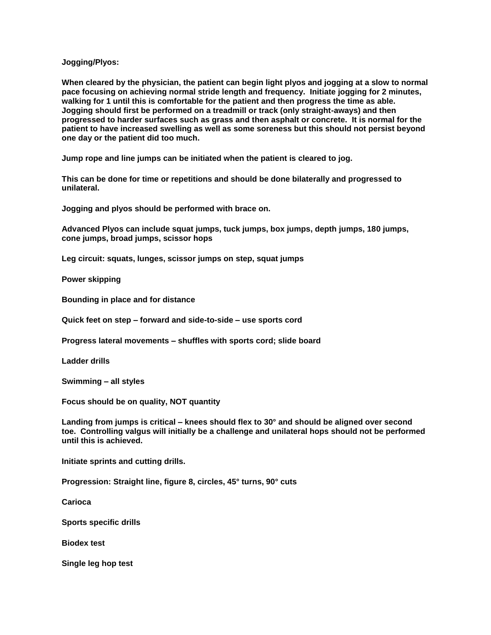#### **Jogging/Plyos:**

**When cleared by the physician, the patient can begin light plyos and jogging at a slow to normal pace focusing on achieving normal stride length and frequency. Initiate jogging for 2 minutes, walking for 1 until this is comfortable for the patient and then progress the time as able. Jogging should first be performed on a treadmill or track (only straight-aways) and then progressed to harder surfaces such as grass and then asphalt or concrete. It is normal for the patient to have increased swelling as well as some soreness but this should not persist beyond one day or the patient did too much.**

**Jump rope and line jumps can be initiated when the patient is cleared to jog.** 

**This can be done for time or repetitions and should be done bilaterally and progressed to unilateral.**

**Jogging and plyos should be performed with brace on.**

**Advanced Plyos can include squat jumps, tuck jumps, box jumps, depth jumps, 180 jumps, cone jumps, broad jumps, scissor hops**

**Leg circuit: squats, lunges, scissor jumps on step, squat jumps**

**Power skipping**

**Bounding in place and for distance**

**Quick feet on step – forward and side-to-side – use sports cord**

**Progress lateral movements – shuffles with sports cord; slide board**

**Ladder drills**

**Swimming – all styles**

**Focus should be on quality, NOT quantity**

**Landing from jumps is critical – knees should flex to 30° and should be aligned over second toe. Controlling valgus will initially be a challenge and unilateral hops should not be performed until this is achieved.** 

**Initiate sprints and cutting drills.**

**Progression: Straight line, figure 8, circles, 45° turns, 90° cuts**

**Carioca**

**Sports specific drills**

**Biodex test** 

**Single leg hop test**